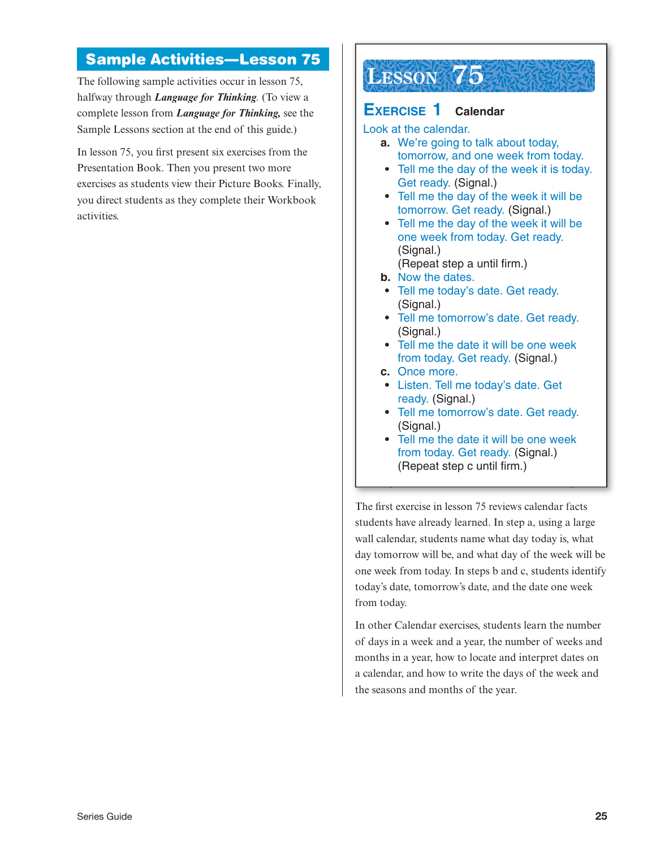### **Sample Activities—Lesson 75**

The following sample activities occur in lesson 75, halfway through *Language for Thinking.* (To view a complete lesson from *Language for Thinking,* see the Sample Lessons section at the end of this guide.)

In lesson 75, you first present six exercises from the Presentation Book. Then you present two more exercises as students view their Picture Books. Finally, you direct students as they complete their Workbook activities.

# **LESSON 75**

#### **XERCISE 1 Calendar**

Look at the calendar.

- **a.** We're going to talk about today, tomorrow, and one week from today.
- **•** Tell me the day of the week it is today. Get ready. (Signal.)
- **•** Tell me the day of the week it will be tomorrow. Get ready. (Signal.)
- **•** Tell me the day of the week it will be one week from today. Get ready. (Signal.)
- (Repeat step a until firm.)
- **b.** Now the dates.
- **•** Tell me today's date. Get ready. (Signal.)
- **•** Tell me tomorrow's date. Get ready. (Signal.)
- **•** Tell me the date it will be one week from today. Get ready. (Signal.)
- **c.** Once more.
- **•** Listen. Tell me today's date. Get ready. (Signal.)
- **•** Tell me tomorrow's date. Get ready. (Signal.)
- **•** Tell me the date it will be one week from today. Get ready. (Signal.) (Repeat step c until firm.)

The first exercise in lesson 75 reviews calendar facts students have already learned. In step a, using a large wall calendar, students name what day today is, what day tomorrow will be, and what day of the week will be one week from today. In steps b and c, students identify today's date, tomorrow's date, and the date one week from today.

In other Calendar exercises, students learn the number of days in a week and a year, the number of weeks and months in a year, how to locate and interpret dates on a calendar, and how to write the days of the week and the seasons and months of the year.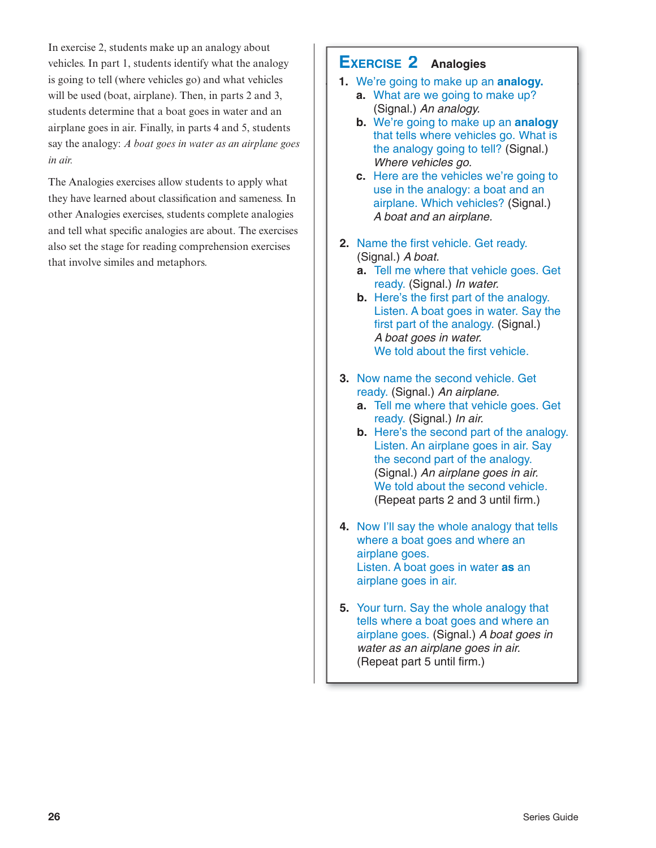In exercise 2, students make up an analogy about vehicles. In part 1, students identify what the analogy is going to tell (where vehicles go) and what vehicles will be used (boat, airplane). Then, in parts 2 and 3, students determine that a boat goes in water and an airplane goes in air. Finally, in parts 4 and 5, students say the analogy: *A boat goes in water as an airplane goes in air.*

The Analogies exercises allow students to apply what they have learned about classification and sameness. In other Analogies exercises, students complete analogies and tell what specific analogies are about. The exercises also set the stage for reading comprehension exercises that involve similes and metaphors.

### **EXERCISE 2 Analogies**

- **1.** We're going to make up an **analogy. a.** What are we going to make up? (Signal.) An analogy.
	- **b.** We're going to make up an **analogy** that tells where vehicles go. What is the analogy going to tell? (Signal.) Where vehicles go.
	- **c.** Here are the vehicles we're going to use in the analogy: a boat and an airplane. Which vehicles? (Signal.) A boat and an airplane.
- **2.** Name the first vehicle. Get ready. (Signal.) A boat.
	- **a.** Tell me where that vehicle goes. Get ready. (Signal.) In water.
	- **b.** Here's the first part of the analogy. Listen. A boat goes in water. Say the first part of the analogy. (Signal.) A boat goes in water. We told about the first vehicle.
- **3.** Now name the second vehicle. Get ready. (Signal.) An airplane.
	- **a.** Tell me where that vehicle goes. Get ready. (Signal.) In air.
	- **b.** Here's the second part of the analogy. Listen. An airplane goes in air. Say the second part of the analogy. (Signal.) An airplane goes in air. We told about the second vehicle. (Repeat parts 2 and 3 until firm.)
- **4.** Now I'll say the whole analogy that tells where a boat goes and where an airplane goes. Listen. A boat goes in water **as** an airplane goes in air.
- **5.** Your turn. Say the whole analogy that tells where a boat goes and where an airplane goes. (Signal.) A boat goes in water as an airplane goes in air. (Repeat part 5 until firm.)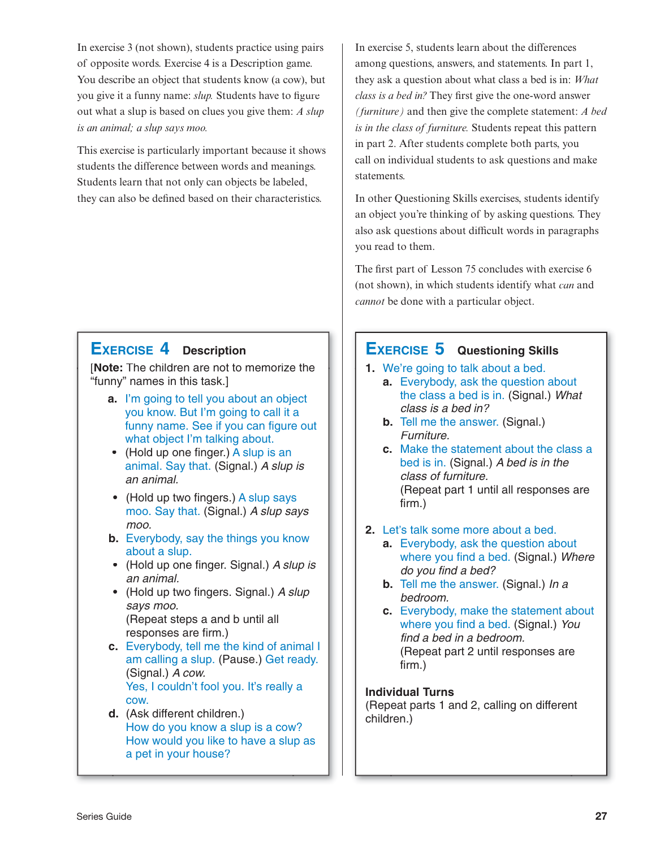In exercise 3 (not shown), students practice using pairs of opposite words. Exercise 4 is a Description game. You describe an object that students know (a cow), but you give it a funny name: *slup.* Students have to figure out what a slup is based on clues you give them: *A slup is an animal; a slup says moo.*

This exercise is particularly important because it shows students the difference between words and meanings. Students learn that not only can objects be labeled, they can also be defined based on their characteristics.

## **EXERCISE 4 Description**

[**Note:** The children are not to memorize the "funny" names in this task.]

- **a.** I'm going to tell you about an object you know. But I'm going to call it a funny name. See if you can figure out what object I'm talking about.
- **•** (Hold up one finger.) A slup is an animal. Say that. (Signal.) A slup is an animal.
- **•** (Hold up two fingers.) A slup says moo. Say that. (Signal.) A slup says moo.
- **b.** Everybody, say the things you know about a slup.
- **•** (Hold up one finger. Signal.) A slup is an animal.
- **•** (Hold up two fingers. Signal.) A slup says moo. (Repeat steps a and b until all responses are firm.)
- **c.** Everybody, tell me the kind of animal I am calling a slup. (Pause.) Get ready. (Signal.) A cow. Yes, I couldn't fool you. It's really a cow.
- **d.** (Ask different children.) How do you know a slup is a cow? How would you like to have a slup as a pet in your house?

In exercise 5, students learn about the differences among questions, answers, and statements. In part 1, they ask a question about what class a bed is in: *What class is a bed in?* They first give the one-word answer *(furniture)* and then give the complete statement: *A bed is in the class of furniture.* Students repeat this pattern in part 2. After students complete both parts, you call on individual students to ask questions and make statements.

In other Questioning Skills exercises, students identify an object you're thinking of by asking questions. They also ask questions about difficult words in paragraphs you read to them.

The first part of Lesson 75 concludes with exercise 6 (not shown), in which students identify what *can* and *cannot* be done with a particular object.

# **EXERCISE 5 Questioning Skills**

- **1.** We're going to talk about a bed.
	- **a.** Everybody, ask the question about the class a bed is in. (Signal.) What class is a bed in?
	- **b.** Tell me the answer. (Signal.) Furniture.
	- **c.** Make the statement about the class a bed is in. (Signal.) A bed is in the class of furniture. (Repeat part 1 until all responses are firm.)
- **2.** Let's talk some more about a bed.
	- **a.** Everybody, ask the question about where you find a bed. (Signal.) Where do you find a bed?
	- **b.** Tell me the answer. (Signal.) In a bedroom.
	- **c.** Everybody, make the statement about where you find a bed. (Signal.) You find a bed in a bedroom. (Repeat part 2 until responses are firm.)

#### **Individual Turns**

(Repeat parts 1 and 2, calling on different children.)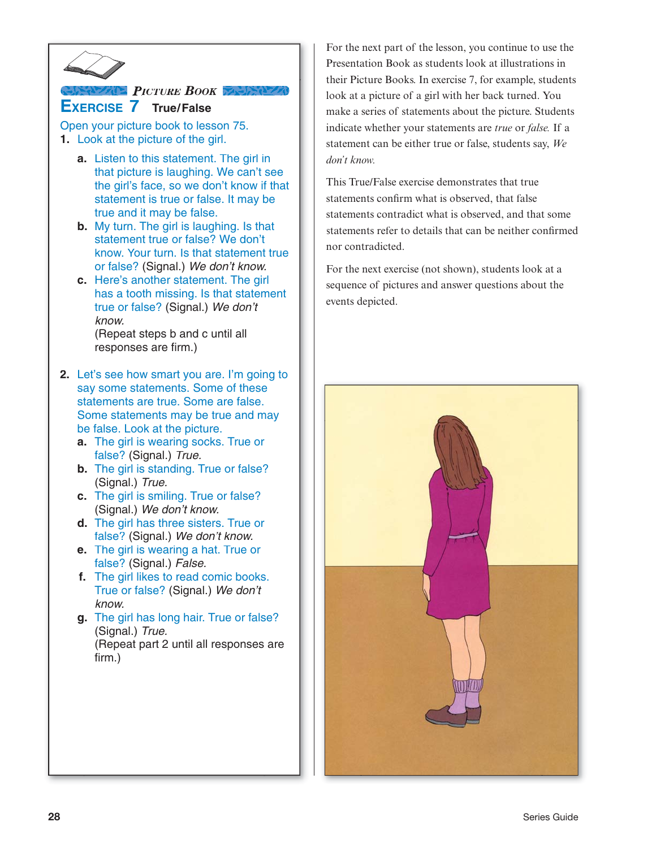

# **EXERCISE 7 True/False** *PICTURE BOOK*

Open your picture book to lesson 75. **1.** Look at the picture of the girl.

- **a.** Listen to this statement. The girl in that picture is laughing. We can't see the girl's face, so we don't know if that statement is true or false. It may be true and it may be false.
- **b.** My turn. The girl is laughing. Is that statement true or false? We don't know. Your turn. Is that statement true or false? (Signal.) We don't know.
- **c.** Here's another statement. The girl has a tooth missing. Is that statement true or false? (Signal.) We don't know. (Repeat steps b and c until all responses are firm.)
- **2.** Let's see how smart you are. I'm going to say some statements. Some of these statements are true. Some are false. Some statements may be true and may be false. Look at the picture.
	- **a.** The girl is wearing socks. True or false? (Signal.) True.
	- **b.** The girl is standing. True or false? (Signal.) True.
	- **c.** The girl is smiling. True or false? (Signal.) We don't know.
	- **d.** The girl has three sisters. True or false? (Signal.) We don't know.
	- **e.** The girl is wearing a hat. True or false? (Signal.) False.
	- **f.** The girl likes to read comic books. True or false? (Signal.) We don't know.
	- **g.** The girl has long hair. True or false? (Signal.) True. (Repeat part 2 until all responses are firm.)

For the next part of the lesson, you continue to use the Presentation Book as students look at illustrations in their Picture Books. In exercise 7, for example, students look at a picture of a girl with her back turned. You make a series of statements about the picture. Students indicate whether your statements are *true* or *false.* If a statement can be either true or false, students say, *We don't know.*

This True/False exercise demonstrates that true statements confirm what is observed, that false statements contradict what is observed, and that some statements refer to details that can be neither confirmed nor contradicted.

For the next exercise (not shown), students look at a sequence of pictures and answer questions about the events depicted.